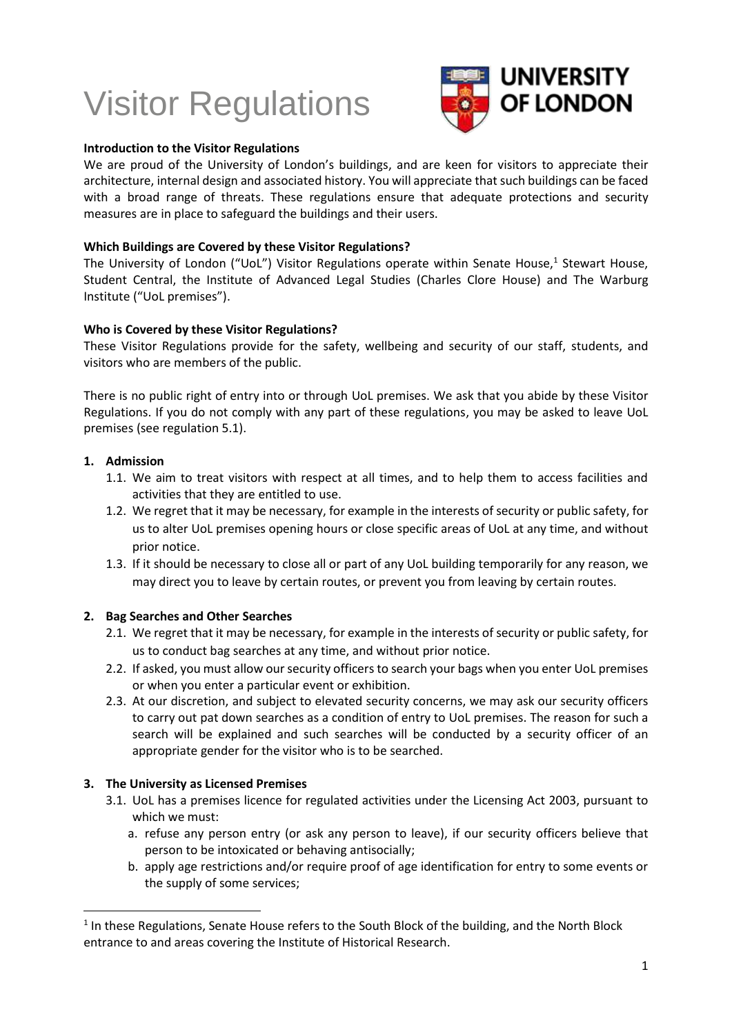# Visitor Regulations



## **Introduction to the Visitor Regulations**

We are proud of the University of London's buildings, and are keen for visitors to appreciate their architecture, internal design and associated history. You will appreciate that such buildings can be faced with a broad range of threats. These regulations ensure that adequate protections and security measures are in place to safeguard the buildings and their users.

## **Which Buildings are Covered by these Visitor Regulations?**

The University of London ("UoL") Visitor Regulations operate within Senate House,<sup>1</sup> Stewart House, Student Central, the Institute of Advanced Legal Studies (Charles Clore House) and The Warburg Institute ("UoL premises").

## **Who is Covered by these Visitor Regulations?**

These Visitor Regulations provide for the safety, wellbeing and security of our staff, students, and visitors who are members of the public.

There is no public right of entry into or through UoL premises. We ask that you abide by these Visitor Regulations. If you do not comply with any part of these regulations, you may be asked to leave UoL premises (see regulation 5.1).

## **1. Admission**

l

- 1.1. We aim to treat visitors with respect at all times, and to help them to access facilities and activities that they are entitled to use.
- 1.2. We regret that it may be necessary, for example in the interests of security or public safety, for us to alter UoL premises opening hours or close specific areas of UoL at any time, and without prior notice.
- 1.3. If it should be necessary to close all or part of any UoL building temporarily for any reason, we may direct you to leave by certain routes, or prevent you from leaving by certain routes.

# **2. Bag Searches and Other Searches**

- 2.1. We regret that it may be necessary, for example in the interests of security or public safety, for us to conduct bag searches at any time, and without prior notice.
- 2.2. If asked, you must allow our security officers to search your bags when you enter UoL premises or when you enter a particular event or exhibition.
- 2.3. At our discretion, and subject to elevated security concerns, we may ask our security officers to carry out pat down searches as a condition of entry to UoL premises. The reason for such a search will be explained and such searches will be conducted by a security officer of an appropriate gender for the visitor who is to be searched.

# **3. The University as Licensed Premises**

- 3.1. UoL has a premises licence for regulated activities under the Licensing Act 2003, pursuant to which we must:
	- a. refuse any person entry (or ask any person to leave), if our security officers believe that person to be intoxicated or behaving antisocially;
	- b. apply age restrictions and/or require proof of age identification for entry to some events or the supply of some services;

 $<sup>1</sup>$  In these Regulations, Senate House refers to the South Block of the building, and the North Block</sup> entrance to and areas covering the Institute of Historical Research.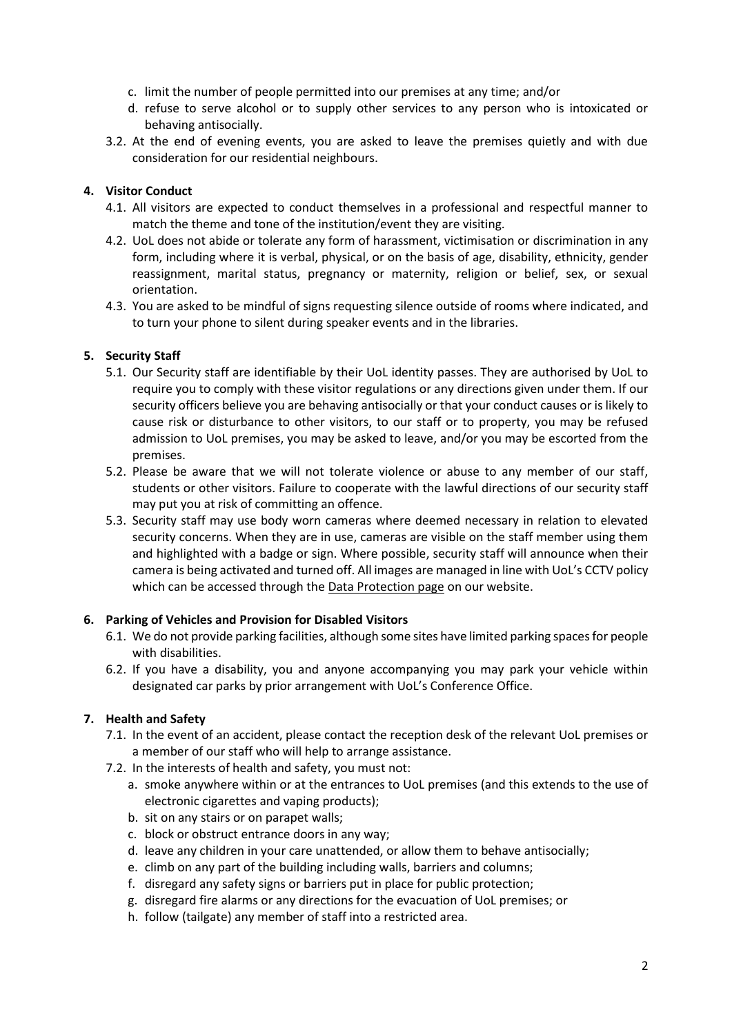- c. limit the number of people permitted into our premises at any time; and/or
- d. refuse to serve alcohol or to supply other services to any person who is intoxicated or behaving antisocially.
- 3.2. At the end of evening events, you are asked to leave the premises quietly and with due consideration for our residential neighbours.

# **4. Visitor Conduct**

- 4.1. All visitors are expected to conduct themselves in a professional and respectful manner to match the theme and tone of the institution/event they are visiting.
- 4.2. UoL does not abide or tolerate any form of harassment, victimisation or discrimination in any form, including where it is verbal, physical, or on the basis of age, disability, ethnicity, gender reassignment, marital status, pregnancy or maternity, religion or belief, sex, or sexual orientation.
- 4.3. You are asked to be mindful of signs requesting silence outside of rooms where indicated, and to turn your phone to silent during speaker events and in the libraries.

# **5. Security Staff**

- 5.1. Our Security staff are identifiable by their UoL identity passes. They are authorised by UoL to require you to comply with these visitor regulations or any directions given under them. If our security officers believe you are behaving antisocially or that your conduct causes or is likely to cause risk or disturbance to other visitors, to our staff or to property, you may be refused admission to UoL premises, you may be asked to leave, and/or you may be escorted from the premises.
- 5.2. Please be aware that we will not tolerate violence or abuse to any member of our staff, students or other visitors. Failure to cooperate with the lawful directions of our security staff may put you at risk of committing an offence.
- 5.3. Security staff may use body worn cameras where deemed necessary in relation to elevated security concerns. When they are in use, cameras are visible on the staff member using them and highlighted with a badge or sign. Where possible, security staff will announce when their camera is being activated and turned off. All images are managed in line with UoL's CCTV policy which can be accessed through the [Data Protection page](https://london.ac.uk/about-us/how-university-run/policies/data-protection-policy) on our website.

# **6. Parking of Vehicles and Provision for Disabled Visitors**

- 6.1. We do not provide parking facilities, although some sites have limited parking spaces for people with disabilities.
- 6.2. If you have a disability, you and anyone accompanying you may park your vehicle within designated car parks by prior arrangement with UoL's Conference Office.

# **7. Health and Safety**

- 7.1. In the event of an accident, please contact the reception desk of the relevant UoL premises or a member of our staff who will help to arrange assistance.
- 7.2. In the interests of health and safety, you must not:
	- a. smoke anywhere within or at the entrances to UoL premises (and this extends to the use of electronic cigarettes and vaping products);
	- b. sit on any stairs or on parapet walls;
	- c. block or obstruct entrance doors in any way;
	- d. leave any children in your care unattended, or allow them to behave antisocially;
	- e. climb on any part of the building including walls, barriers and columns;
	- f. disregard any safety signs or barriers put in place for public protection;
	- g. disregard fire alarms or any directions for the evacuation of UoL premises; or
	- h. follow (tailgate) any member of staff into a restricted area.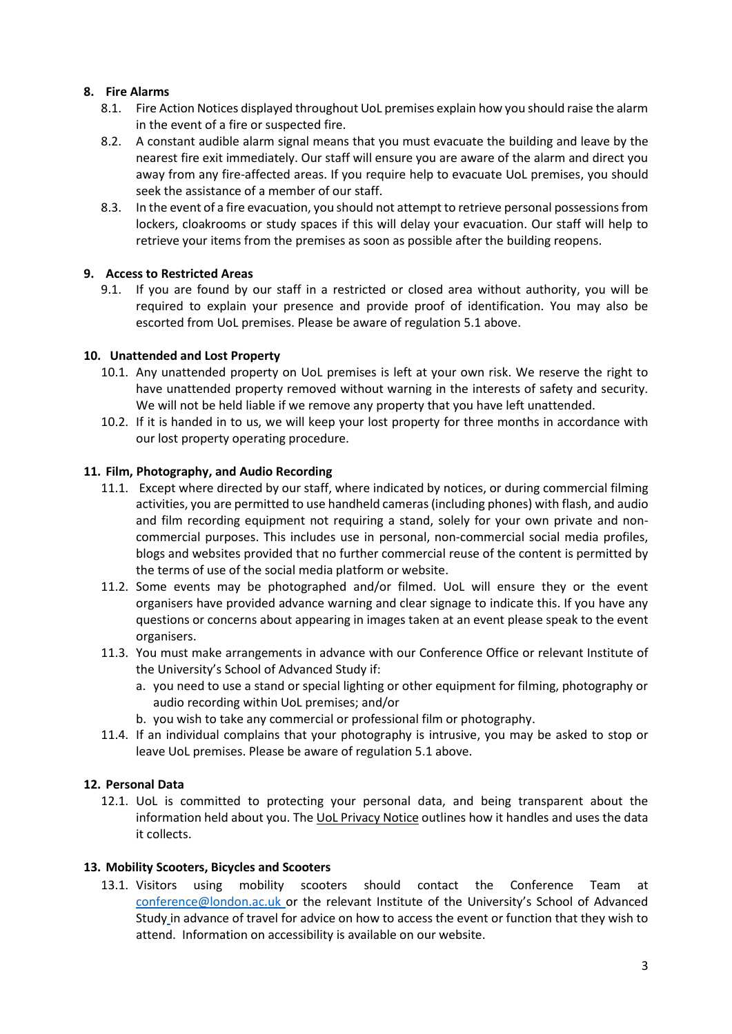# **8. Fire Alarms**

- 8.1. Fire Action Notices displayed throughout UoL premises explain how you should raise the alarm in the event of a fire or suspected fire.
- 8.2. A constant audible alarm signal means that you must evacuate the building and leave by the nearest fire exit immediately. Our staff will ensure you are aware of the alarm and direct you away from any fire-affected areas. If you require help to evacuate UoL premises, you should seek the assistance of a member of our staff.
- 8.3. In the event of a fire evacuation, you should not attempt to retrieve personal possessions from lockers, cloakrooms or study spaces if this will delay your evacuation. Our staff will help to retrieve your items from the premises as soon as possible after the building reopens.

# **9. Access to Restricted Areas**

9.1. If you are found by our staff in a restricted or closed area without authority, you will be required to explain your presence and provide proof of identification. You may also be escorted from UoL premises. Please be aware of regulation 5.1 above.

# **10. Unattended and Lost Property**

- 10.1. Any unattended property on UoL premises is left at your own risk. We reserve the right to have unattended property removed without warning in the interests of safety and security. We will not be held liable if we remove any property that you have left unattended.
- 10.2. If it is handed in to us, we will keep your lost property for three months in accordance with our lost property operating procedure.

# **11. Film, Photography, and Audio Recording**

- 11.1. Except where directed by our staff, where indicated by notices, or during commercial filming activities, you are permitted to use handheld cameras (including phones) with flash, and audio and film recording equipment not requiring a stand, solely for your own private and noncommercial purposes. This includes use in personal, non-commercial social media profiles, blogs and websites provided that no further commercial reuse of the content is permitted by the terms of use of the social media platform or website.
- 11.2. Some events may be photographed and/or filmed. UoL will ensure they or the event organisers have provided advance warning and clear signage to indicate this. If you have any questions or concerns about appearing in images taken at an event please speak to the event organisers.
- 11.3. You must make arrangements in advance with our Conference Office or relevant Institute of the University's School of Advanced Study if:
	- a. you need to use a stand or special lighting or other equipment for filming, photography or audio recording within UoL premises; and/or
	- b. you wish to take any commercial or professional film or photography.
- 11.4. If an individual complains that your photography is intrusive, you may be asked to stop or leave UoL premises. Please be aware of regulation 5.1 above.

# **12. Personal Data**

12.1. UoL is committed to protecting your personal data, and being transparent about the information held about you. The UoL [Privacy Notice](https://london.ac.uk/about-us/how-university-run/policies/privacy-notice) outlines how it handles and uses the data it collects.

# **13. Mobility Scooters, Bicycles and Scooters**

13.1. Visitors using mobility scooters should contact the Conference Team at [conference@london.ac.uk](mailto:conference@london.ac.uk) or the relevant Institute of the University's School of Advanced Study in advance of travel for advice on how to access the event or function that they wish to attend. Information on accessibility is available on our website.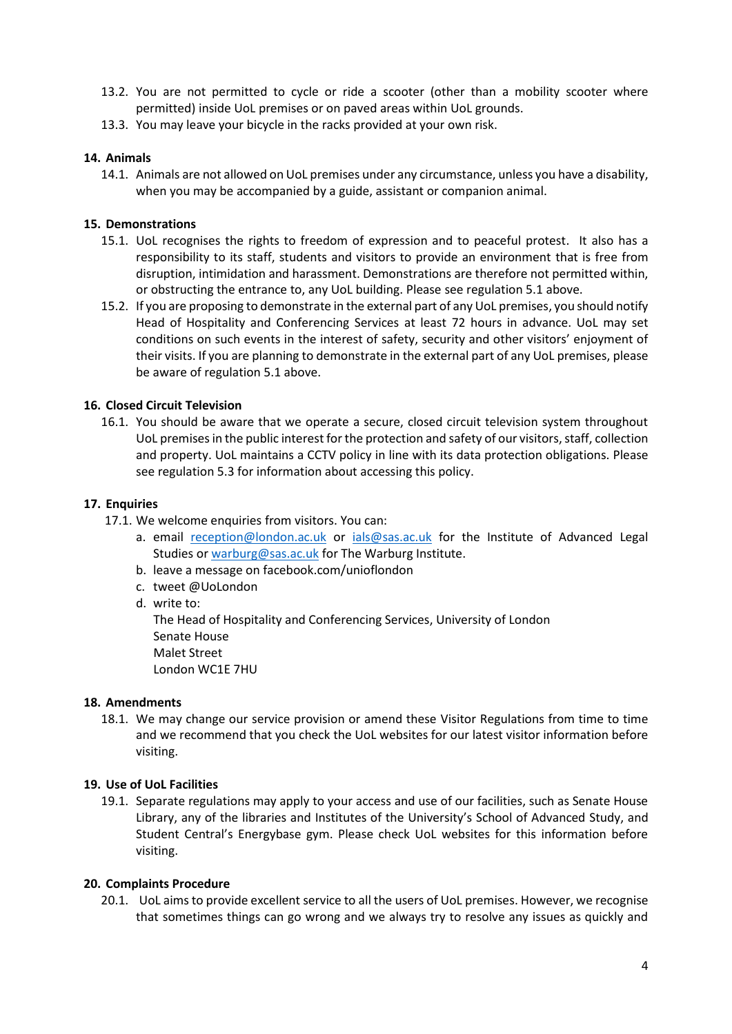- 13.2. You are not permitted to cycle or ride a scooter (other than a mobility scooter where permitted) inside UoL premises or on paved areas within UoL grounds.
- 13.3. You may leave your bicycle in the racks provided at your own risk.

## **14. Animals**

14.1. Animals are not allowed on UoL premises under any circumstance, unless you have a disability, when you may be accompanied by a guide, assistant or companion animal.

## **15. Demonstrations**

- 15.1. UoL recognises the rights to freedom of expression and to peaceful protest. It also has a responsibility to its staff, students and visitors to provide an environment that is free from disruption, intimidation and harassment. Demonstrations are therefore not permitted within, or obstructing the entrance to, any UoL building. Please see regulation 5.1 above.
- 15.2. If you are proposing to demonstrate in the external part of any UoL premises, you should notify Head of Hospitality and Conferencing Services at least 72 hours in advance. UoL may set conditions on such events in the interest of safety, security and other visitors' enjoyment of their visits. If you are planning to demonstrate in the external part of any UoL premises, please be aware of regulation 5.1 above.

## **16. Closed Circuit Television**

16.1. You should be aware that we operate a secure, closed circuit television system throughout UoL premises in the public interest for the protection and safety of our visitors, staff, collection and property. UoL maintains a CCTV policy in line with its data protection obligations. Please see regulation 5.3 for information about accessing this policy.

#### **17. Enquiries**

- 17.1. We welcome enquiries from visitors. You can:
	- a. email [reception@london.ac.uk](mailto:reception@london.ac.uk) or [ials@sas.ac.uk](mailto:ials@sas.ac.uk) for the Institute of Advanced Legal Studies or [warburg@sas.ac.uk](mailto:warburg@sas.ac.uk) for The Warburg Institute.
	- b. leave a message on facebook.com/unioflondon
	- c. tweet @UoLondon
	- d. write to:

The Head of Hospitality and Conferencing Services, University of London Senate House Malet Street London WC1E 7HU

#### **18. Amendments**

18.1. We may change our service provision or amend these Visitor Regulations from time to time and we recommend that you check the UoL websites for our latest visitor information before visiting.

#### **19. Use of UoL Facilities**

19.1. Separate regulations may apply to your access and use of our facilities, such as Senate House Library, any of the libraries and Institutes of the University's School of Advanced Study, and Student Central's Energybase gym. Please check UoL websites for this information before visiting.

#### **20. Complaints Procedure**

20.1. UoL aims to provide excellent service to all the users of UoL premises. However, we recognise that sometimes things can go wrong and we always try to resolve any issues as quickly and